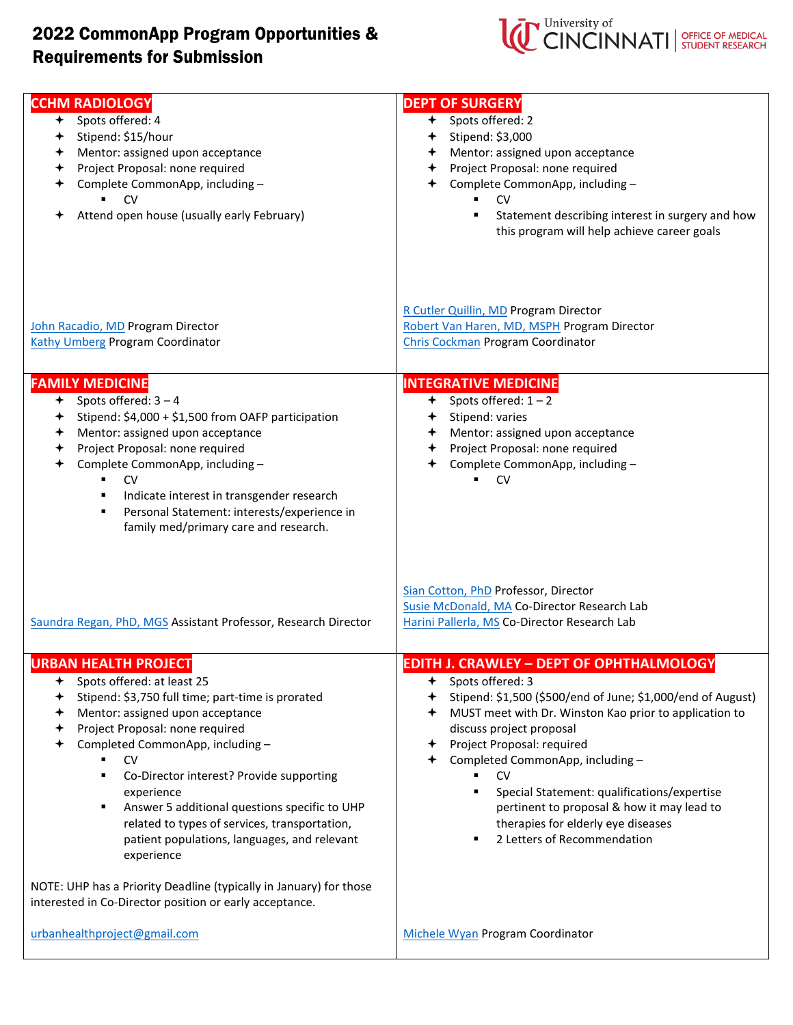## 2022 CommonApp Program Opportunities & **Requirements for Submission**



| <b>CCHM RADIOLOGY</b><br>+ Spots offered: 4<br>Stipend: \$15/hour                                                                                                                                                                                                                 | <b>DEPT OF SURGERY</b><br>+ Spots offered: 2<br>$+$ Stipend: \$3,000                                                                                                                                                                                                                                       |
|-----------------------------------------------------------------------------------------------------------------------------------------------------------------------------------------------------------------------------------------------------------------------------------|------------------------------------------------------------------------------------------------------------------------------------------------------------------------------------------------------------------------------------------------------------------------------------------------------------|
|                                                                                                                                                                                                                                                                                   |                                                                                                                                                                                                                                                                                                            |
| Mentor: assigned upon acceptance<br>✦                                                                                                                                                                                                                                             | + Mentor: assigned upon acceptance                                                                                                                                                                                                                                                                         |
| Project Proposal: none required<br>✦                                                                                                                                                                                                                                              | Project Proposal: none required<br>$\,{}^*$                                                                                                                                                                                                                                                                |
| Complete CommonApp, including -                                                                                                                                                                                                                                                   | Complete CommonApp, including -<br>✦                                                                                                                                                                                                                                                                       |
| CV                                                                                                                                                                                                                                                                                | $\mathsf{C} \mathsf{V}$                                                                                                                                                                                                                                                                                    |
| Attend open house (usually early February)                                                                                                                                                                                                                                        | Statement describing interest in surgery and how                                                                                                                                                                                                                                                           |
|                                                                                                                                                                                                                                                                                   | this program will help achieve career goals                                                                                                                                                                                                                                                                |
|                                                                                                                                                                                                                                                                                   |                                                                                                                                                                                                                                                                                                            |
| John Racadio, MD Program Director<br><b>Kathy Umberg Program Coordinator</b><br><b>FAMILY MEDICINE</b><br>$\div$ Spots offered: 3 - 4<br>Stipend: \$4,000 + \$1,500 from OAFP participation<br>✦<br>Mentor: assigned upon acceptance<br>✦<br>Project Proposal: none required<br>✦ | R Cutler Quillin, MD Program Director<br>Robert Van Haren, MD, MSPH Program Director<br><b>Chris Cockman Program Coordinator</b><br><b>INTEGRATIVE MEDICINE</b><br>$\div$ Spots offered: 1 – 2<br>Stipend: varies<br>$\leftarrow$<br>+ Mentor: assigned upon acceptance<br>Project Proposal: none required |
| Complete CommonApp, including -                                                                                                                                                                                                                                                   | Complete CommonApp, including -<br>✦                                                                                                                                                                                                                                                                       |
| $\mathsf{C} \mathsf{V}$<br>$\blacksquare$                                                                                                                                                                                                                                         | ٠.<br><b>CV</b>                                                                                                                                                                                                                                                                                            |
| Indicate interest in transgender research<br>٠                                                                                                                                                                                                                                    |                                                                                                                                                                                                                                                                                                            |
| Personal Statement: interests/experience in<br>٠                                                                                                                                                                                                                                  |                                                                                                                                                                                                                                                                                                            |
| family med/primary care and research.                                                                                                                                                                                                                                             |                                                                                                                                                                                                                                                                                                            |
|                                                                                                                                                                                                                                                                                   |                                                                                                                                                                                                                                                                                                            |
| Saundra Regan, PhD, MGS Assistant Professor, Research Director                                                                                                                                                                                                                    | Sian Cotton, PhD Professor, Director<br>Susie McDonald, MA Co-Director Research Lab<br>Harini Pallerla, MS Co-Director Research Lab                                                                                                                                                                        |
| <b>URBAN HEALTH PROJECT</b>                                                                                                                                                                                                                                                       | <b>EDITH J. CRAWLEY - DEPT OF OPHTHALMOLOGY</b>                                                                                                                                                                                                                                                            |
| Spots offered: at least 25<br>✦                                                                                                                                                                                                                                                   | Spots offered: 3<br>✦                                                                                                                                                                                                                                                                                      |
| Stipend: \$3,750 full time; part-time is prorated                                                                                                                                                                                                                                 | Stipend: \$1,500 (\$500/end of June; \$1,000/end of August)                                                                                                                                                                                                                                                |
|                                                                                                                                                                                                                                                                                   |                                                                                                                                                                                                                                                                                                            |
| Mentor: assigned upon acceptance                                                                                                                                                                                                                                                  | MUST meet with Dr. Winston Kao prior to application to<br>✦                                                                                                                                                                                                                                                |
| Project Proposal: none required                                                                                                                                                                                                                                                   | discuss project proposal                                                                                                                                                                                                                                                                                   |
| Completed CommonApp, including -                                                                                                                                                                                                                                                  | Project Proposal: required<br>✦                                                                                                                                                                                                                                                                            |
| <b>CV</b>                                                                                                                                                                                                                                                                         | Completed CommonApp, including -                                                                                                                                                                                                                                                                           |
| Co-Director interest? Provide supporting<br>٠                                                                                                                                                                                                                                     | <b>CV</b><br>٠                                                                                                                                                                                                                                                                                             |
| experience                                                                                                                                                                                                                                                                        | Special Statement: qualifications/expertise<br>٠                                                                                                                                                                                                                                                           |
| Answer 5 additional questions specific to UHP<br>٠                                                                                                                                                                                                                                | pertinent to proposal & how it may lead to                                                                                                                                                                                                                                                                 |
| related to types of services, transportation,                                                                                                                                                                                                                                     | therapies for elderly eye diseases                                                                                                                                                                                                                                                                         |
| patient populations, languages, and relevant                                                                                                                                                                                                                                      | 2 Letters of Recommendation                                                                                                                                                                                                                                                                                |
|                                                                                                                                                                                                                                                                                   |                                                                                                                                                                                                                                                                                                            |
| experience                                                                                                                                                                                                                                                                        |                                                                                                                                                                                                                                                                                                            |
| NOTE: UHP has a Priority Deadline (typically in January) for those<br>interested in Co-Director position or early acceptance.                                                                                                                                                     |                                                                                                                                                                                                                                                                                                            |
| urbanhealthproject@gmail.com                                                                                                                                                                                                                                                      | Michele Wyan Program Coordinator                                                                                                                                                                                                                                                                           |